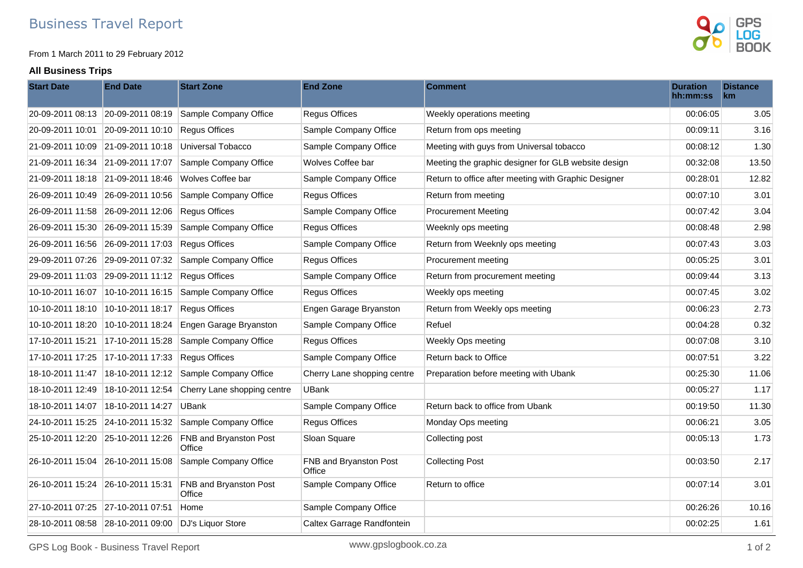From 1 March 2011 to 29 February 2012

## **All Business Trips**



| <b>Start Date</b>                 | <b>End Date</b>                   | <b>Start Zone</b>                       | <b>End Zone</b>                  | <b>Comment</b>                                       | <b>Duration</b><br>hh:mm:ss | <b>Distance</b><br>km |
|-----------------------------------|-----------------------------------|-----------------------------------------|----------------------------------|------------------------------------------------------|-----------------------------|-----------------------|
| 20-09-2011 08:13 20-09-2011 08:19 |                                   | Sample Company Office                   | <b>Regus Offices</b>             | Weekly operations meeting                            | 00:06:05                    | 3.05                  |
| 20-09-2011 10:01                  | 20-09-2011 10:10                  | <b>Regus Offices</b>                    | Sample Company Office            | Return from ops meeting                              | 00:09:11                    | 3.16                  |
| 21-09-2011 10:09 21-09-2011 10:18 |                                   | Universal Tobacco                       | Sample Company Office            | Meeting with guys from Universal tobacco             | 00:08:12                    | 1.30                  |
| 21-09-2011 16:34 21-09-2011 17:07 |                                   | Sample Company Office                   | Wolves Coffee bar                | Meeting the graphic designer for GLB website design  | 00:32:08                    | 13.50                 |
| 21-09-2011 18:18 21-09-2011 18:46 |                                   | Wolves Coffee bar                       | Sample Company Office            | Return to office after meeting with Graphic Designer | 00:28:01                    | 12.82                 |
| 26-09-2011 10:49 26-09-2011 10:56 |                                   | Sample Company Office                   | <b>Regus Offices</b>             | Return from meeting                                  | 00:07:10                    | 3.01                  |
| 26-09-2011 11:58 26-09-2011 12:06 |                                   | <b>Regus Offices</b>                    | Sample Company Office            | <b>Procurement Meeting</b>                           | 00:07:42                    | 3.04                  |
| 26-09-2011 15:30                  | 26-09-2011 15:39                  | Sample Company Office                   | <b>Regus Offices</b>             | Weeknly ops meeting                                  | 00:08:48                    | 2.98                  |
|                                   | 26-09-2011 16:56 26-09-2011 17:03 | <b>Regus Offices</b>                    | Sample Company Office            | Return from Weeknly ops meeting                      | 00:07:43                    | 3.03                  |
| 29-09-2011 07:26                  | 29-09-2011 07:32                  | Sample Company Office                   | <b>Regus Offices</b>             | Procurement meeting                                  | 00:05:25                    | 3.01                  |
| 29-09-2011 11:03 29-09-2011 11:12 |                                   | Regus Offices                           | Sample Company Office            | Return from procurement meeting                      | 00:09:44                    | 3.13                  |
|                                   | 10-10-2011 16:07 10-10-2011 16:15 | Sample Company Office                   | <b>Regus Offices</b>             | Weekly ops meeting                                   | 00:07:45                    | 3.02                  |
| 10-10-2011 18:10                  | 10-10-2011 18:17                  | <b>Regus Offices</b>                    | Engen Garage Bryanston           | Return from Weekly ops meeting                       | 00:06:23                    | 2.73                  |
| 10-10-2011 18:20                  | $10-10-2011$ 18:24                | Engen Garage Bryanston                  | Sample Company Office            | Refuel                                               | 00:04:28                    | 0.32                  |
| 17-10-2011 15:21 17-10-2011 15:28 |                                   | Sample Company Office                   | <b>Regus Offices</b>             | Weekly Ops meeting                                   | 00:07:08                    | 3.10                  |
| 17-10-2011 17:25                  | $ 17-10-201117:33$                | <b>Regus Offices</b>                    | Sample Company Office            | Return back to Office                                | 00:07:51                    | 3.22                  |
|                                   |                                   | Sample Company Office                   | Cherry Lane shopping centre      | Preparation before meeting with Ubank                | 00:25:30                    | 11.06                 |
|                                   |                                   | Cherry Lane shopping centre             | <b>UBank</b>                     |                                                      | 00:05:27                    | 1.17                  |
| 18-10-2011 14:07 18-10-2011 14:27 |                                   | <b>UBank</b>                            | Sample Company Office            | Return back to office from Ubank                     | 00:19:50                    | 11.30                 |
| 24-10-2011 15:25 24-10-2011 15:32 |                                   | Sample Company Office                   | <b>Regus Offices</b>             | Monday Ops meeting                                   | 00:06:21                    | 3.05                  |
|                                   | 25-10-2011 12:20 25-10-2011 12:26 | FNB and Bryanston Post<br>Office        | Sloan Square                     | Collecting post                                      | 00:05:13                    | 1.73                  |
| 26-10-2011 15:04 26-10-2011 15:08 |                                   | Sample Company Office                   | FNB and Bryanston Post<br>Office | <b>Collecting Post</b>                               | 00:03:50                    | 2.17                  |
| 26-10-2011 15:24 26-10-2011 15:31 |                                   | <b>FNB and Bryanston Post</b><br>Office | Sample Company Office            | Return to office                                     | 00:07:14                    | 3.01                  |
| 27-10-2011 07:25                  | 27-10-2011 07:51                  | Home                                    | Sample Company Office            |                                                      | 00:26:26                    | 10.16                 |
|                                   | 28-10-2011 08:58 28-10-2011 09:00 | DJ's Liquor Store                       | Caltex Garrage Randfontein       |                                                      | 00:02:25                    | 1.61                  |